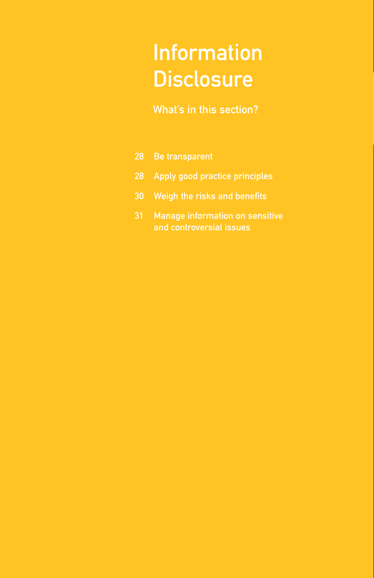# Information **Disclosure**

### What's in this section?

- 28 Be transparent
- 28 Apply good practice principles
- 30 Weigh the risks and benefits
- Manage information on sensitive and controversial issues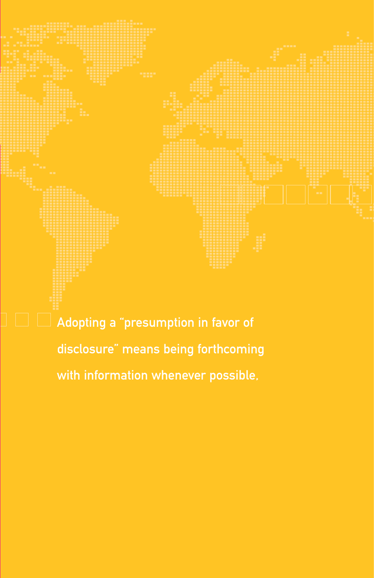

Adopting a "presumption in favor of disclosure" means being forthcoming with information whenever possible,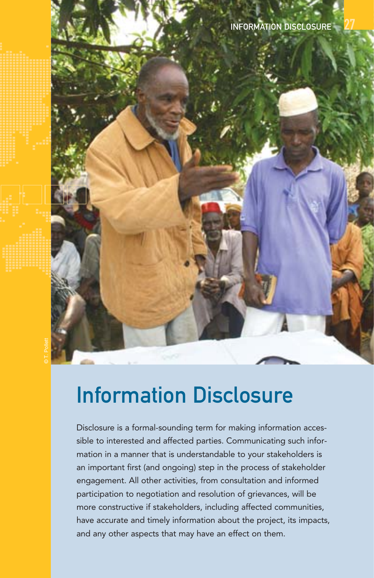## Information Disclosure

Disclosure is a formal-sounding term for making information accessible to interested and affected parties. Communicating such information in a manner that is understandable to your stakeholders is an important first (and ongoing) step in the process of stakeholder engagement. All other activities, from consultation and informed participation to negotiation and resolution of grievances, will be more constructive if stakeholders, including affected communities, have accurate and timely information about the project, its impacts, and any other aspects that may have an effect on them.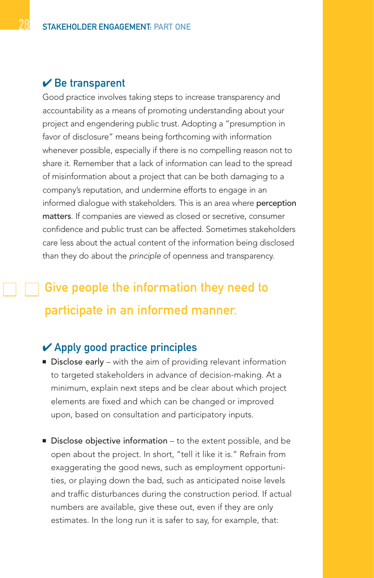### $\vee$  Be transparent

Good practice involves taking steps to increase transparency and accountability as a means of promoting understanding about your project and engendering public trust. Adopting a "presumption in favor of disclosure" means being forthcoming with information whenever possible, especially if there is no compelling reason not to share it. Remember that a lack of information can lead to the spread of misinformation about a project that can be both damaging to a company's reputation, and undermine efforts to engage in an informed dialogue with stakeholders. This is an area where perception matters. If companies are viewed as closed or secretive, consumer confidence and public trust can be affected. Sometimes stakeholders care less about the actual content of the information being disclosed than they do about the principle of openness and transparency.

## Give people the information they need to participate in an informed manner.

### $\vee$  Apply good practice principles

- Disclose early with the aim of providing relevant information to targeted stakeholders in advance of decision-making. At a minimum, explain next steps and be clear about which project elements are fixed and which can be changed or improved upon, based on consultation and participatory inputs.
- Disclose objective information to the extent possible, and be open about the project. In short, "tell it like it is." Refrain from exaggerating the good news, such as employment opportunities, or playing down the bad, such as anticipated noise levels and traffic disturbances during the construction period. If actual numbers are available, give these out, even if they are only estimates. In the long run it is safer to say, for example, that: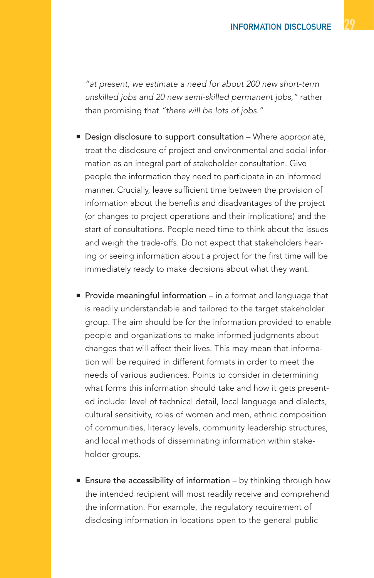"at present, we estimate a need for about 200 new short-term unskilled jobs and 20 new semi-skilled permanent jobs," rather than promising that "there will be lots of jobs."

- Design disclosure to support consultation Where appropriate, treat the disclosure of project and environmental and social information as an integral part of stakeholder consultation. Give people the information they need to participate in an informed manner. Crucially, leave sufficient time between the provision of information about the benefits and disadvantages of the project (or changes to project operations and their implications) and the start of consultations. People need time to think about the issues and weigh the trade-offs. Do not expect that stakeholders hearing or seeing information about a project for the first time will be immediately ready to make decisions about what they want.
- Provide meaningful information in a format and language that is readily understandable and tailored to the target stakeholder group. The aim should be for the information provided to enable people and organizations to make informed judgments about changes that will affect their lives. This may mean that information will be required in different formats in order to meet the needs of various audiences. Points to consider in determining what forms this information should take and how it gets presented include: level of technical detail, local language and dialects, cultural sensitivity, roles of women and men, ethnic composition of communities, literacy levels, community leadership structures, and local methods of disseminating information within stakeholder groups.
- **Ensure the accessibility of information** by thinking through how the intended recipient will most readily receive and comprehend the information. For example, the regulatory requirement of disclosing information in locations open to the general public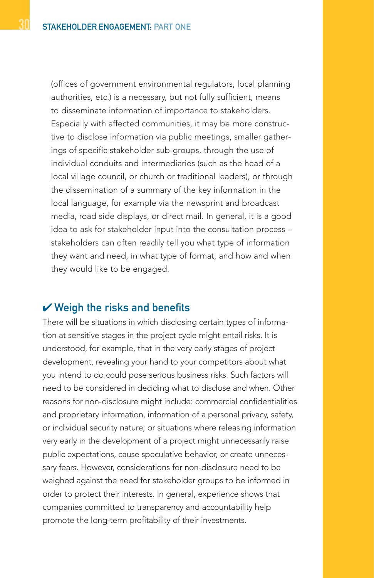(offices of government environmental regulators, local planning authorities, etc.) is a necessary, but not fully sufficient, means to disseminate information of importance to stakeholders. Especially with affected communities, it may be more constructive to disclose information via public meetings, smaller gatherings of specific stakeholder sub-groups, through the use of individual conduits and intermediaries (such as the head of a local village council, or church or traditional leaders), or through the dissemination of a summary of the key information in the local language, for example via the newsprint and broadcast media, road side displays, or direct mail. In general, it is a good idea to ask for stakeholder input into the consultation process – stakeholders can often readily tell you what type of information they want and need, in what type of format, and how and when they would like to be engaged.

#### $\vee$  Weigh the risks and benefits

There will be situations in which disclosing certain types of information at sensitive stages in the project cycle might entail risks. It is understood, for example, that in the very early stages of project development, revealing your hand to your competitors about what you intend to do could pose serious business risks. Such factors will need to be considered in deciding what to disclose and when. Other reasons for non-disclosure might include: commercial confidentialities and proprietary information, information of a personal privacy, safety, or individual security nature; or situations where releasing information very early in the development of a project might unnecessarily raise public expectations, cause speculative behavior, or create unnecessary fears. However, considerations for non-disclosure need to be weighed against the need for stakeholder groups to be informed in order to protect their interests. In general, experience shows that companies committed to transparency and accountability help promote the long-term profitability of their investments.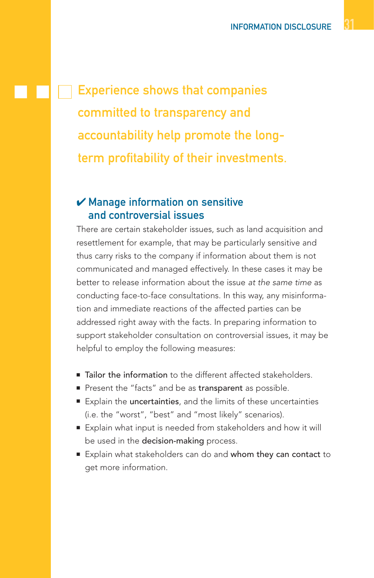Experience shows that companies committed to transparency and accountability help promote the longterm profitability of their investments.

### $\boldsymbol{\nu}$  Manage information on sensitive and controversial issues

There are certain stakeholder issues, such as land acquisition and resettlement for example, that may be particularly sensitive and thus carry risks to the company if information about them is not communicated and managed effectively. In these cases it may be better to release information about the issue at the same time as conducting face-to-face consultations. In this way, any misinformation and immediate reactions of the affected parties can be addressed right away with the facts. In preparing information to support stakeholder consultation on controversial issues, it may be helpful to employ the following measures:

- Tailor the information to the different affected stakeholders.
- Present the "facts" and be as transparent as possible.
- Explain the uncertainties, and the limits of these uncertainties (i.e. the "worst", "best" and "most likely" scenarios).
- Explain what input is needed from stakeholders and how it will be used in the decision-making process.
- Explain what stakeholders can do and whom they can contact to get more information.